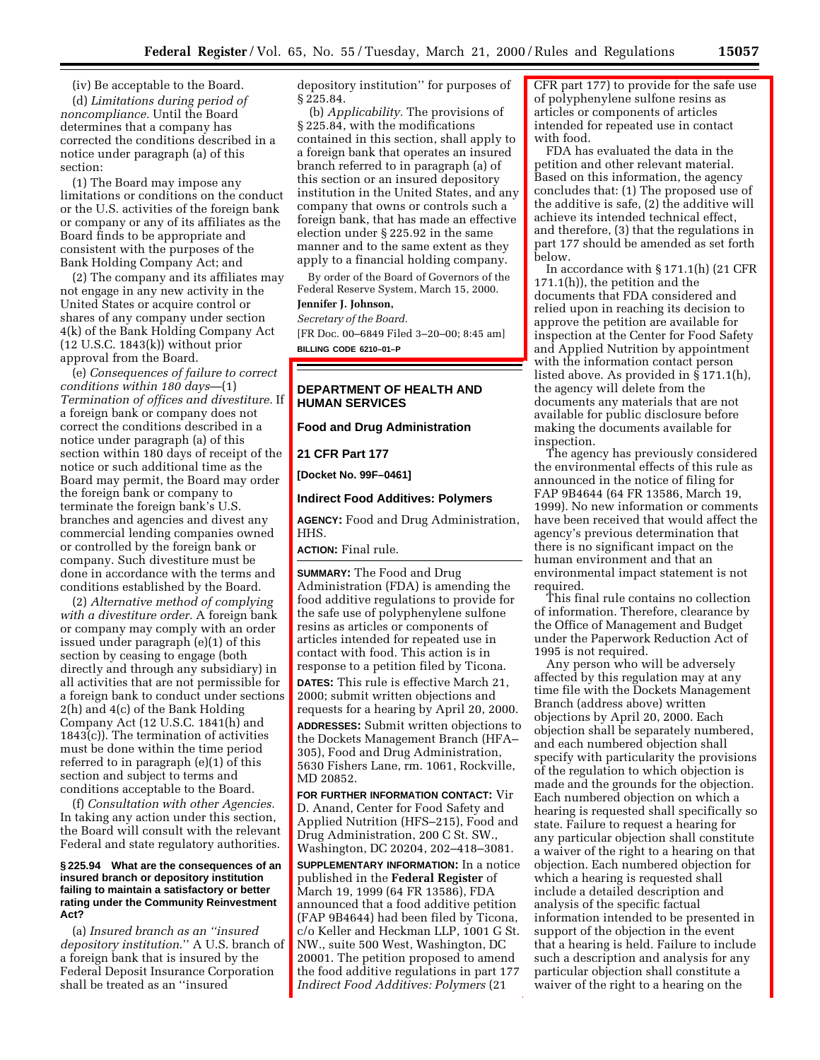(iv) Be acceptable to the Board. (d) *Limitations during period of noncompliance.* Until the Board determines that a company has corrected the conditions described in a notice under paragraph (a) of this section:

(1) The Board may impose any limitations or conditions on the conduct or the U.S. activities of the foreign bank or company or any of its affiliates as the Board finds to be appropriate and consistent with the purposes of the Bank Holding Company Act; and

(2) The company and its affiliates may not engage in any new activity in the United States or acquire control or shares of any company under section 4(k) of the Bank Holding Company Act (12 U.S.C. 1843(k)) without prior approval from the Board.

(e) *Consequences of failure to correct conditions within 180 days*—(1) *Termination of offices and divestiture.* If a foreign bank or company does not correct the conditions described in a notice under paragraph (a) of this section within 180 days of receipt of the notice or such additional time as the Board may permit, the Board may order the foreign bank or company to terminate the foreign bank's U.S. branches and agencies and divest any commercial lending companies owned or controlled by the foreign bank or company. Such divestiture must be done in accordance with the terms and conditions established by the Board.

(2) *Alternative method of complying with a divestiture order.* A foreign bank or company may comply with an order issued under paragraph (e)(1) of this section by ceasing to engage (both directly and through any subsidiary) in all activities that are not permissible for a foreign bank to conduct under sections 2(h) and 4(c) of the Bank Holding Company Act (12 U.S.C. 1841(h) and 1843(c)). The termination of activities must be done within the time period referred to in paragraph (e)(1) of this section and subject to terms and conditions acceptable to the Board.

(f) *Consultation with other Agencies.* In taking any action under this section, the Board will consult with the relevant Federal and state regulatory authorities.

#### **§ 225.94 What are the consequences of an insured branch or depository institution failing to maintain a satisfactory or better rating under the Community Reinvestment Act?**

(a) *Insured branch as an ''insured depository institution*.'' A U.S. branch of a foreign bank that is insured by the Federal Deposit Insurance Corporation shall be treated as an ''insured

depository institution'' for purposes of § 225.84.

(b) *Applicability.* The provisions of § 225.84, with the modifications contained in this section, shall apply to a foreign bank that operates an insured branch referred to in paragraph (a) of this section or an insured depository institution in the United States, and any company that owns or controls such a foreign bank, that has made an effective election under § 225.92 in the same manner and to the same extent as they apply to a financial holding company.

By order of the Board of Governors of the Federal Reserve System, March 15, 2000.

# **Jennifer J. Johnson,**

*Secretary of the Board.* [FR Doc. 00–6849 Filed 3–20–00; 8:45 am] **BILLING CODE 6210–01–P**

## **DEPARTMENT OF HEALTH AND HUMAN SERVICES**

**Food and Drug Administration**

**21 CFR Part 177**

**[Docket No. 99F–0461]**

#### **Indirect Food Additives: Polymers**

**AGENCY:** Food and Drug Administration, HHS.

**ACTION:** Final rule.

**SUMMARY:** The Food and Drug Administration (FDA) is amending the food additive regulations to provide for the safe use of polyphenylene sulfone resins as articles or components of articles intended for repeated use in contact with food. This action is in response to a petition filed by Ticona. **DATES:** This rule is effective March 21, 2000; submit written objections and requests for a hearing by April 20, 2000. **ADDRESSES:** Submit written objections to the Dockets Management Branch (HFA– 305), Food and Drug Administration, 5630 Fishers Lane, rm. 1061, Rockville, MD 20852.

**FOR FURTHER INFORMATION CONTACT:** Vir D. Anand, Center for Food Safety and Applied Nutrition (HFS–215), Food and Drug Administration, 200 C St. SW., Washington, DC 20204, 202–418–3081.

**SUPPLEMENTARY INFORMATION:** In a notice published in the **Federal Register** of March 19, 1999 (64 FR 13586), FDA announced that a food additive petition (FAP 9B4644) had been filed by Ticona, c/o Keller and Heckman LLP, 1001 G St. NW., suite 500 West, Washington, DC 20001. The petition proposed to amend the food additive regulations in part 177 *Indirect Food Additives: Polymers* (21

CFR part 177) to provide for the safe use of polyphenylene sulfone resins as articles or components of articles intended for repeated use in contact with food.

FDA has evaluated the data in the petition and other relevant material. Based on this information, the agency concludes that: (1) The proposed use of the additive is safe, (2) the additive will achieve its intended technical effect, and therefore, (3) that the regulations in part 177 should be amended as set forth below.

In accordance with § 171.1(h) (21 CFR 171.1(h)), the petition and the documents that FDA considered and relied upon in reaching its decision to approve the petition are available for inspection at the Center for Food Safety and Applied Nutrition by appointment with the information contact person listed above. As provided in § 171.1(h), the agency will delete from the documents any materials that are not available for public disclosure before making the documents available for inspection.

The agency has previously considered the environmental effects of this rule as announced in the notice of filing for FAP 9B4644 (64 FR 13586, March 19, 1999). No new information or comments have been received that would affect the agency's previous determination that there is no significant impact on the human environment and that an environmental impact statement is not required.

This final rule contains no collection of information. Therefore, clearance by the Office of Management and Budget under the Paperwork Reduction Act of 1995 is not required.

Any person who will be adversely affected by this regulation may at any time file with the Dockets Management Branch (address above) written objections by April 20, 2000. Each objection shall be separately numbered, and each numbered objection shall specify with particularity the provisions of the regulation to which objection is made and the grounds for the objection. Each numbered objection on which a hearing is requested shall specifically so state. Failure to request a hearing for any particular objection shall constitute a waiver of the right to a hearing on that objection. Each numbered objection for which a hearing is requested shall include a detailed description and analysis of the specific factual information intended to be presented in support of the objection in the event that a hearing is held. Failure to include such a description and analysis for any particular objection shall constitute a waiver of the right to a hearing on the